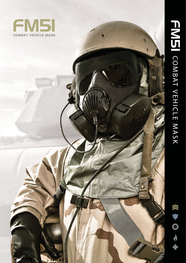

# **FM51** COMBAT VEHICLE MASK COMBAT VEHICLE MASK

G.

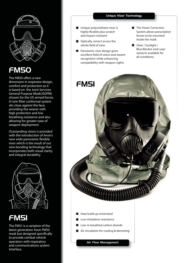

# FM50

The FM50 offers a new dimension in respirator design, comfort and protection as it is based on the Joint Services General Purpose Mask(JSGPM) chosen for the US armed forces. A twin filter conformal system sits close against the face, providing the wearer with high protection and low breathing resistance and also allowing for greater ease of weapon deployment.

Outstanding vision is provided with the introduction of Avon's new wide panoramic flexible visor which is the result of our new bonding technology that incorporates both visual clarity and integral durability.



# FM51

The FM51 is a variation of the latest generation Avon FM50 mask but designed specifically to provide combat vehicle operators with respiratory and communications system interface.

### Unique Visor Technology

- **Unique polyurethane visor is** highly flexible plus scratch and impact resistant
- **Optically correct across the** whole field of view
- **Panoramic visor design gives** excellent field of vision and wearer recognition while enhancing compatibility with weapon sights
- **The Vision Correction**  System allows prescription lenses to be mounted inside the mask
- Clear / Sunlight / Blue Blocker and Laser outserts available for all conditions



- $\blacksquare$  Heat build up minimized
- **Low inhalation resistance**
- Low re-breathed carbon dioxide
- **Air circulation for cooling & demisting**

Air Flow Management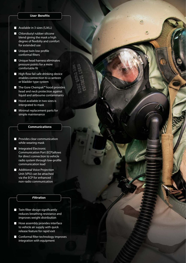### User Benefits

傷

- Available in 3 sizes  $(S, M, L)$
- Chlorobutyl rubber silicone blend giving the mask a high degree of flexibiliy and comfort for extended use
- $\blacksquare$  Unique twin low profile conformal filters
- **Unique head harness eliminates**  pressure points for a more comfortable fit
- $\blacksquare$  High flow fail safe drinking device enables connection to a canteen or bladder type system
- The Gore Chempak™ hood provides head and neck protection against liquid and airbourne contaminants
- $\blacksquare$  Hood available in two sizes is intergrated to mask
- **Minimal replacement parts for** simple maintenance

### Communications

- **Provides clear communication** while wearing mask
- **Integrated Electronic**  Communication Port (ECP)allows for direct connection to vehicle radio system through low-profile communication lead
- **Additional Voice Projection**  Unit (VPU) can be attached via the ECP for enhanced non-radio communication

## Filtration

- $\blacksquare$  Twin filter design significantly reduces breathing resistance and improves weight distribution
- **Hose assembly provides interface**  to vehicle air supply with quick release feature for rapid exit
- $\blacksquare$  Conformal filter technology improves integration with equipment